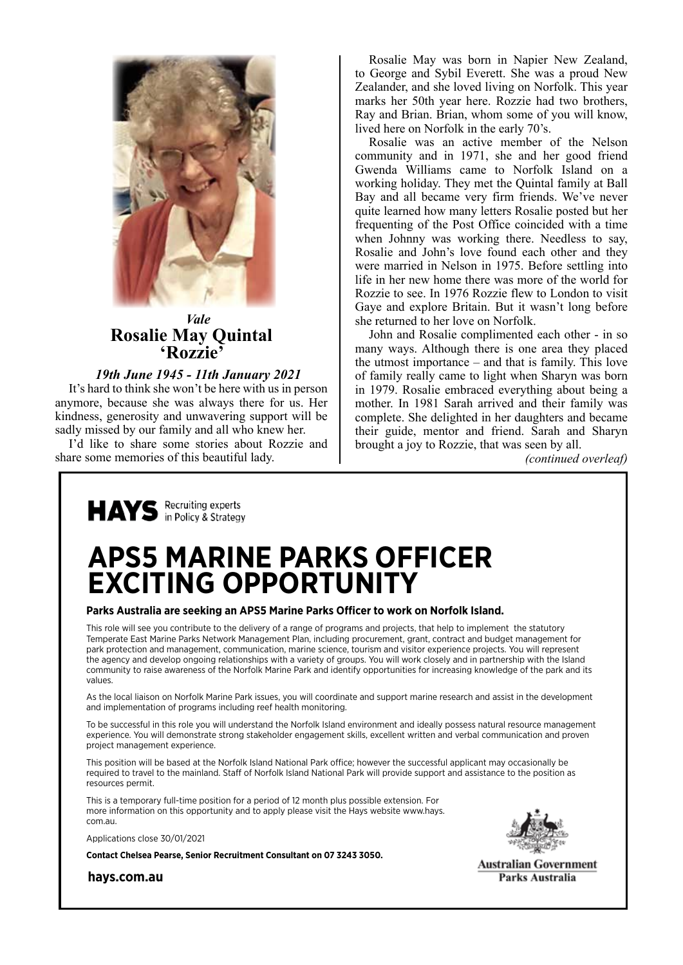

*Vale* **Rosalie May Quintal 'Rozzie'**

### *19th June 1945 - 11th January 2021*

It's hard to think she won't be here with us in person anymore, because she was always there for us. Her kindness, generosity and unwavering support will be sadly missed by our family and all who knew her.

I'd like to share some stories about Rozzie and share some memories of this beautiful lady.

Rosalie May was born in Napier New Zealand, to George and Sybil Everett. She was a proud New Zealander, and she loved living on Norfolk. This year marks her 50th year here. Rozzie had two brothers, Ray and Brian. Brian, whom some of you will know, lived here on Norfolk in the early 70's.

Rosalie was an active member of the Nelson community and in 1971, she and her good friend Gwenda Williams came to Norfolk Island on a working holiday. They met the Quintal family at Ball Bay and all became very firm friends. We've never quite learned how many letters Rosalie posted but her frequenting of the Post Office coincided with a time when Johnny was working there. Needless to say, Rosalie and John's love found each other and they were married in Nelson in 1975. Before settling into life in her new home there was more of the world for Rozzie to see. In 1976 Rozzie flew to London to visit Gaye and explore Britain. But it wasn't long before she returned to her love on Norfolk.

John and Rosalie complimented each other - in so many ways. Although there is one area they placed the utmost importance – and that is family. This love of family really came to light when Sharyn was born in 1979. Rosalie embraced everything about being a mother. In 1981 Sarah arrived and their family was complete. She delighted in her daughters and became their guide, mentor and friend. Sarah and Sharyn brought a joy to Rozzie, that was seen by all.

*(continued overleaf)*



# **APS5 MARINE PARKS OFFICER EXCITING OPPORTUNITY**

#### **Parks Australia are seeking an APS5 Marine Parks Officer to work on Norfolk Island.**

This role will see you contribute to the delivery of a range of programs and projects, that help to implement the statutory Temperate East Marine Parks Network Management Plan, including procurement, grant, contract and budget management for park protection and management, communication, marine science, tourism and visitor experience projects. You will represent the agency and develop ongoing relationships with a variety of groups. You will work closely and in partnership with the Island community to raise awareness of the Norfolk Marine Park and identify opportunities for increasing knowledge of the park and its values.

As the local liaison on Norfolk Marine Park issues, you will coordinate and support marine research and assist in the development and implementation of programs including reef health monitoring.

To be successful in this role you will understand the Norfolk Island environment and ideally possess natural resource management experience. You will demonstrate strong stakeholder engagement skills, excellent written and verbal communication and proven project management experience.

This position will be based at the Norfolk Island National Park office; however the successful applicant may occasionally be required to travel to the mainland. Staff of Norfolk Island National Park will provide support and assistance to the position as resources permit.

This is a temporary full-time position for a period of 12 month plus possible extension. For more information on this opportunity and to apply please visit the Hays website www.hays. com.au.

Applications close 30/01/2021

**Contact Chelsea Pearse, Senior Recruitment Consultant on 07 3243 3050.** 

**hays.com.au**



**Australian Government** Parks Australia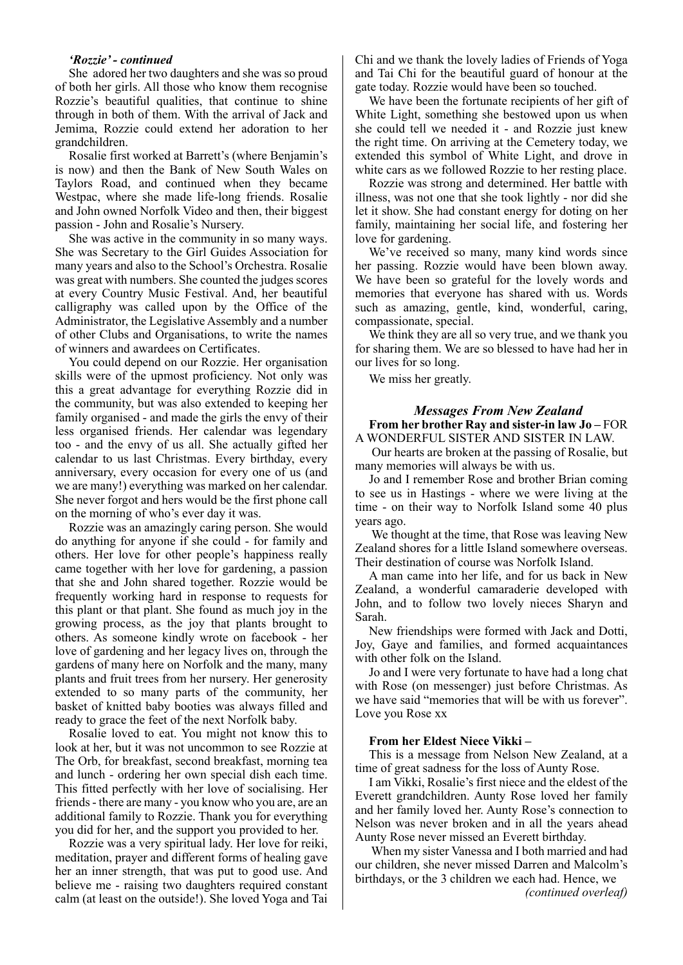#### *'Rozzie' - continued*

She adored her two daughters and she was so proud of both her girls. All those who know them recognise Rozzie's beautiful qualities, that continue to shine through in both of them. With the arrival of Jack and Jemima, Rozzie could extend her adoration to her grandchildren.

Rosalie first worked at Barrett's (where Benjamin's is now) and then the Bank of New South Wales on Taylors Road, and continued when they became Westpac, where she made life-long friends. Rosalie and John owned Norfolk Video and then, their biggest passion - John and Rosalie's Nursery.

She was active in the community in so many ways. She was Secretary to the Girl Guides Association for many years and also to the School's Orchestra. Rosalie was great with numbers. She counted the judges scores at every Country Music Festival. And, her beautiful calligraphy was called upon by the Office of the Administrator, the Legislative Assembly and a number of other Clubs and Organisations, to write the names of winners and awardees on Certificates.

You could depend on our Rozzie. Her organisation skills were of the upmost proficiency. Not only was this a great advantage for everything Rozzie did in the community, but was also extended to keeping her family organised - and made the girls the envy of their less organised friends. Her calendar was legendary too - and the envy of us all. She actually gifted her calendar to us last Christmas. Every birthday, every anniversary, every occasion for every one of us (and we are many!) everything was marked on her calendar. She never forgot and hers would be the first phone call on the morning of who's ever day it was.

Rozzie was an amazingly caring person. She would do anything for anyone if she could - for family and others. Her love for other people's happiness really came together with her love for gardening, a passion that she and John shared together. Rozzie would be frequently working hard in response to requests for this plant or that plant. She found as much joy in the growing process, as the joy that plants brought to others. As someone kindly wrote on facebook - her love of gardening and her legacy lives on, through the gardens of many here on Norfolk and the many, many plants and fruit trees from her nursery. Her generosity extended to so many parts of the community, her basket of knitted baby booties was always filled and ready to grace the feet of the next Norfolk baby.

Rosalie loved to eat. You might not know this to look at her, but it was not uncommon to see Rozzie at The Orb, for breakfast, second breakfast, morning tea and lunch - ordering her own special dish each time. This fitted perfectly with her love of socialising. Her friends - there are many - you know who you are, are an additional family to Rozzie. Thank you for everything you did for her, and the support you provided to her.

Rozzie was a very spiritual lady. Her love for reiki, meditation, prayer and different forms of healing gave her an inner strength, that was put to good use. And believe me - raising two daughters required constant calm (at least on the outside!). She loved Yoga and Tai

Chi and we thank the lovely ladies of Friends of Yoga and Tai Chi for the beautiful guard of honour at the gate today. Rozzie would have been so touched.

We have been the fortunate recipients of her gift of White Light, something she bestowed upon us when she could tell we needed it - and Rozzie just knew the right time. On arriving at the Cemetery today, we extended this symbol of White Light, and drove in white cars as we followed Rozzie to her resting place.

Rozzie was strong and determined. Her battle with illness, was not one that she took lightly - nor did she let it show. She had constant energy for doting on her family, maintaining her social life, and fostering her love for gardening.

We've received so many, many kind words since her passing. Rozzie would have been blown away. We have been so grateful for the lovely words and memories that everyone has shared with us. Words such as amazing, gentle, kind, wonderful, caring, compassionate, special.

We think they are all so very true, and we thank you for sharing them. We are so blessed to have had her in our lives for so long.

We miss her greatly.

#### *Messages From New Zealand* **From her brother Ray and sister-in law Jo –** FOR

A WONDERFUL SISTER AND SISTER IN LAW.

 Our hearts are broken at the passing of Rosalie, but many memories will always be with us.

Jo and I remember Rose and brother Brian coming to see us in Hastings - where we were living at the time - on their way to Norfolk Island some 40 plus years ago.

 We thought at the time, that Rose was leaving New Zealand shores for a little Island somewhere overseas. Their destination of course was Norfolk Island.

A man came into her life, and for us back in New Zealand, a wonderful camaraderie developed with John, and to follow two lovely nieces Sharyn and Sarah.

New friendships were formed with Jack and Dotti, Joy, Gaye and families, and formed acquaintances with other folk on the Island.

Jo and I were very fortunate to have had a long chat with Rose (on messenger) just before Christmas. As we have said "memories that will be with us forever". Love you Rose xx

#### **From her Eldest Niece Vikki –**

This is a message from Nelson New Zealand, at a time of great sadness for the loss of Aunty Rose.

I am Vikki, Rosalie's first niece and the eldest of the Everett grandchildren. Aunty Rose loved her family and her family loved her. Aunty Rose's connection to Nelson was never broken and in all the years ahead Aunty Rose never missed an Everett birthday.

 When my sister Vanessa and I both married and had our children, she never missed Darren and Malcolm's birthdays, or the 3 children we each had. Hence, we *(continued overleaf)*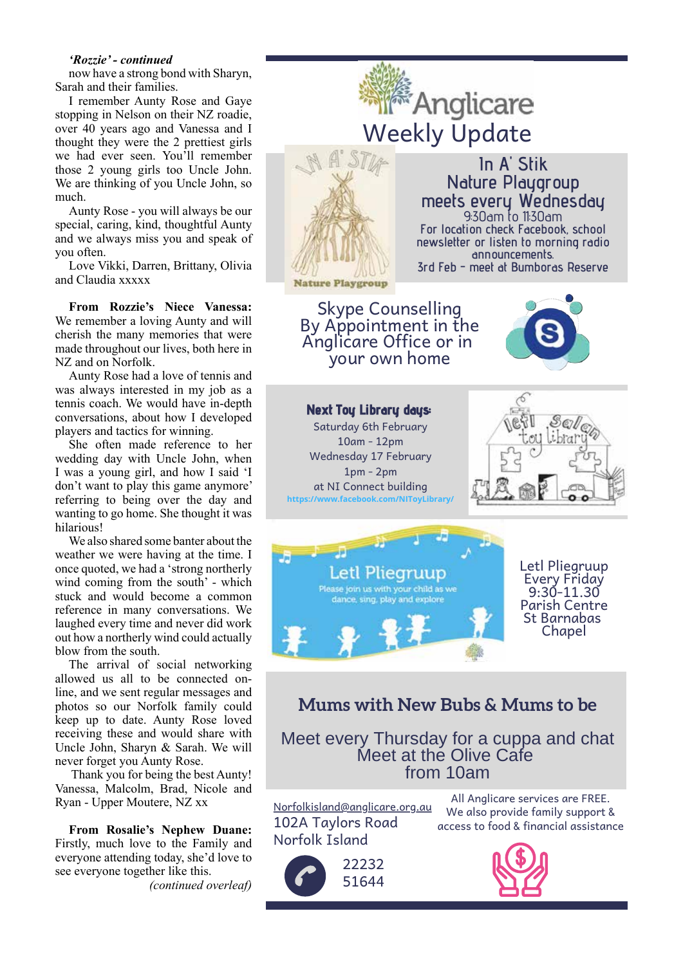#### *'Rozzie' - continued*

now have a strong bond with Sharyn, Sarah and their families.

I remember Aunty Rose and Gaye stopping in Nelson on their NZ roadie, over 40 years ago and Vanessa and I thought they were the 2 prettiest girls we had ever seen. You'll remember those 2 young girls too Uncle John. We are thinking of you Uncle John, so much.

Aunty Rose - you will always be our special, caring, kind, thoughtful Aunty and we always miss you and speak of you often.

Love Vikki, Darren, Brittany, Olivia and Claudia xxxxx

**From Rozzie's Niece Vanessa:**  We remember a loving Aunty and will cherish the many memories that were made throughout our lives, both here in NZ and on Norfolk.

Aunty Rose had a love of tennis and was always interested in my job as a tennis coach. We would have in-depth conversations, about how I developed players and tactics for winning.

She often made reference to her wedding day with Uncle John, when I was a young girl, and how I said 'I don't want to play this game anymore' referring to being over the day and wanting to go home. She thought it was hilarious!

We also shared some banter about the weather we were having at the time. I once quoted, we had a 'strong northerly wind coming from the south' - which stuck and would become a common reference in many conversations. We laughed every time and never did work out how a northerly wind could actually blow from the south.

The arrival of social networking allowed us all to be connected online, and we sent regular messages and photos so our Norfolk family could keep up to date. Aunty Rose loved receiving these and would share with Uncle John, Sharyn & Sarah. We will never forget you Aunty Rose.

 Thank you for being the best Aunty! Vanessa, Malcolm, Brad, Nicole and Ryan - Upper Moutere, NZ xx

**From Rosalie's Nephew Duane:**  Firstly, much love to the Family and everyone attending today, she'd love to see everyone together like this. *(continued overleaf)*



# **Mums with New Bubs & Mums to be**

Meet every Thursday for a cuppa and chat Meet at the Olive Cafe from 10am

Norfolkisland@anglicare.org.au 102A Taylors Road Norfolk Island



All Anglicare services are FREE. We also provide family support & access to food & financial assistance